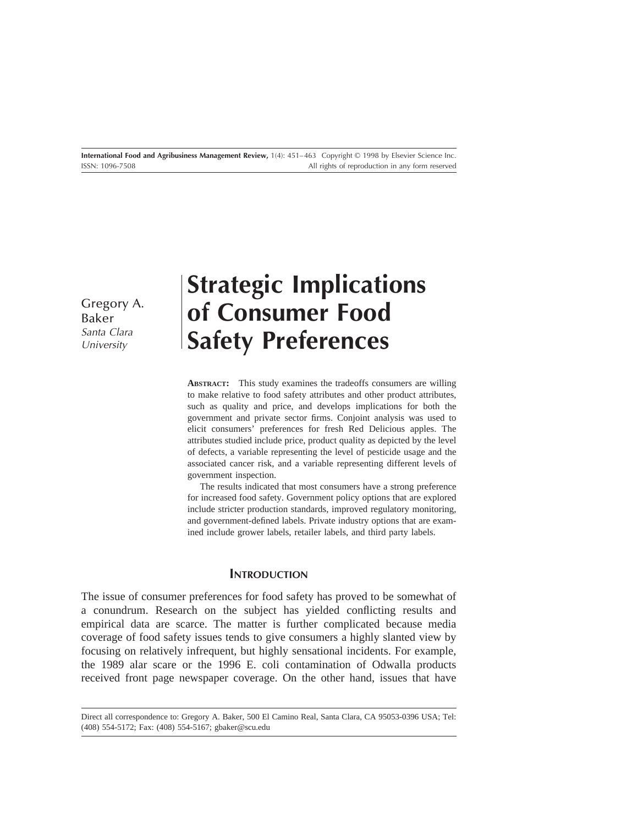Gregory A. Baker Santa Clara **University** 

# **Strategic Implications of Consumer Food Safety Preferences**

**ABSTRACT:** This study examines the tradeoffs consumers are willing to make relative to food safety attributes and other product attributes, such as quality and price, and develops implications for both the government and private sector firms. Conjoint analysis was used to elicit consumers' preferences for fresh Red Delicious apples. The attributes studied include price, product quality as depicted by the level of defects, a variable representing the level of pesticide usage and the associated cancer risk, and a variable representing different levels of government inspection.

The results indicated that most consumers have a strong preference for increased food safety. Government policy options that are explored include stricter production standards, improved regulatory monitoring, and government-defined labels. Private industry options that are examined include grower labels, retailer labels, and third party labels.

#### **INTRODUCTION**

The issue of consumer preferences for food safety has proved to be somewhat of a conundrum. Research on the subject has yielded conflicting results and empirical data are scarce. The matter is further complicated because media coverage of food safety issues tends to give consumers a highly slanted view by focusing on relatively infrequent, but highly sensational incidents. For example, the 1989 alar scare or the 1996 E. coli contamination of Odwalla products received front page newspaper coverage. On the other hand, issues that have

Direct all correspondence to: Gregory A. Baker, 500 El Camino Real, Santa Clara, CA 95053-0396 USA; Tel: (408) 554-5172; Fax: (408) 554-5167; gbaker@scu.edu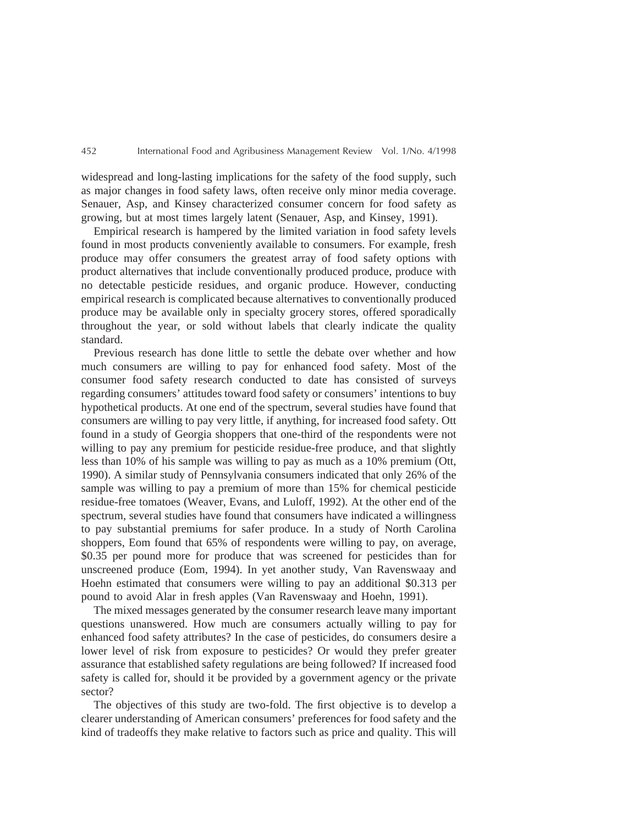widespread and long-lasting implications for the safety of the food supply, such as major changes in food safety laws, often receive only minor media coverage. Senauer, Asp, and Kinsey characterized consumer concern for food safety as growing, but at most times largely latent (Senauer, Asp, and Kinsey, 1991).

Empirical research is hampered by the limited variation in food safety levels found in most products conveniently available to consumers. For example, fresh produce may offer consumers the greatest array of food safety options with product alternatives that include conventionally produced produce, produce with no detectable pesticide residues, and organic produce. However, conducting empirical research is complicated because alternatives to conventionally produced produce may be available only in specialty grocery stores, offered sporadically throughout the year, or sold without labels that clearly indicate the quality standard.

Previous research has done little to settle the debate over whether and how much consumers are willing to pay for enhanced food safety. Most of the consumer food safety research conducted to date has consisted of surveys regarding consumers' attitudes toward food safety or consumers' intentions to buy hypothetical products. At one end of the spectrum, several studies have found that consumers are willing to pay very little, if anything, for increased food safety. Ott found in a study of Georgia shoppers that one-third of the respondents were not willing to pay any premium for pesticide residue-free produce, and that slightly less than 10% of his sample was willing to pay as much as a 10% premium (Ott, 1990). A similar study of Pennsylvania consumers indicated that only 26% of the sample was willing to pay a premium of more than 15% for chemical pesticide residue-free tomatoes (Weaver, Evans, and Luloff, 1992). At the other end of the spectrum, several studies have found that consumers have indicated a willingness to pay substantial premiums for safer produce. In a study of North Carolina shoppers, Eom found that 65% of respondents were willing to pay, on average, \$0.35 per pound more for produce that was screened for pesticides than for unscreened produce (Eom, 1994). In yet another study, Van Ravenswaay and Hoehn estimated that consumers were willing to pay an additional \$0.313 per pound to avoid Alar in fresh apples (Van Ravenswaay and Hoehn, 1991).

The mixed messages generated by the consumer research leave many important questions unanswered. How much are consumers actually willing to pay for enhanced food safety attributes? In the case of pesticides, do consumers desire a lower level of risk from exposure to pesticides? Or would they prefer greater assurance that established safety regulations are being followed? If increased food safety is called for, should it be provided by a government agency or the private sector?

The objectives of this study are two-fold. The first objective is to develop a clearer understanding of American consumers' preferences for food safety and the kind of tradeoffs they make relative to factors such as price and quality. This will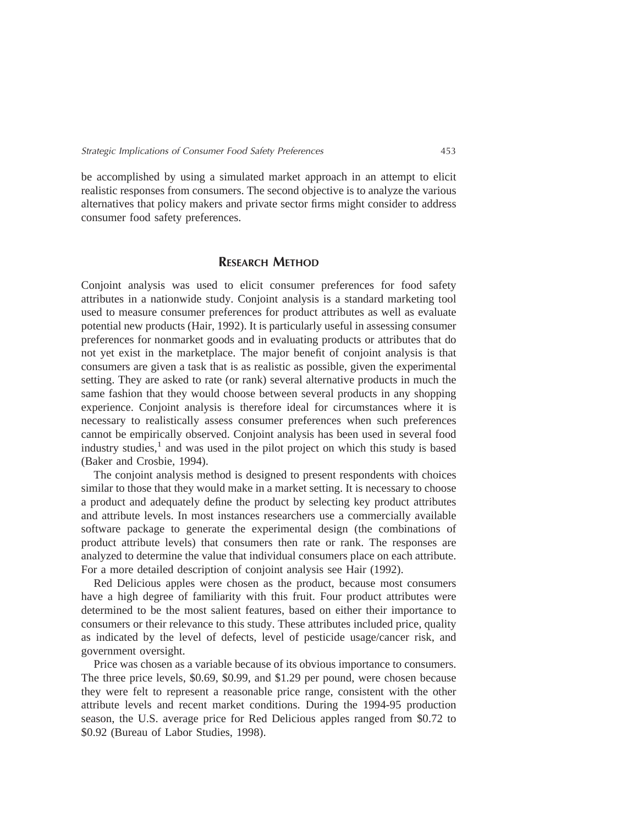be accomplished by using a simulated market approach in an attempt to elicit realistic responses from consumers. The second objective is to analyze the various alternatives that policy makers and private sector firms might consider to address consumer food safety preferences.

# **RESEARCH METHOD**

Conjoint analysis was used to elicit consumer preferences for food safety attributes in a nationwide study. Conjoint analysis is a standard marketing tool used to measure consumer preferences for product attributes as well as evaluate potential new products (Hair, 1992). It is particularly useful in assessing consumer preferences for nonmarket goods and in evaluating products or attributes that do not yet exist in the marketplace. The major benefit of conjoint analysis is that consumers are given a task that is as realistic as possible, given the experimental setting. They are asked to rate (or rank) several alternative products in much the same fashion that they would choose between several products in any shopping experience. Conjoint analysis is therefore ideal for circumstances where it is necessary to realistically assess consumer preferences when such preferences cannot be empirically observed. Conjoint analysis has been used in several food industry studies, $<sup>1</sup>$  and was used in the pilot project on which this study is based</sup> (Baker and Crosbie, 1994).

The conjoint analysis method is designed to present respondents with choices similar to those that they would make in a market setting. It is necessary to choose a product and adequately define the product by selecting key product attributes and attribute levels. In most instances researchers use a commercially available software package to generate the experimental design (the combinations of product attribute levels) that consumers then rate or rank. The responses are analyzed to determine the value that individual consumers place on each attribute. For a more detailed description of conjoint analysis see Hair (1992).

Red Delicious apples were chosen as the product, because most consumers have a high degree of familiarity with this fruit. Four product attributes were determined to be the most salient features, based on either their importance to consumers or their relevance to this study. These attributes included price, quality as indicated by the level of defects, level of pesticide usage/cancer risk, and government oversight.

Price was chosen as a variable because of its obvious importance to consumers. The three price levels, \$0.69, \$0.99, and \$1.29 per pound, were chosen because they were felt to represent a reasonable price range, consistent with the other attribute levels and recent market conditions. During the 1994-95 production season, the U.S. average price for Red Delicious apples ranged from \$0.72 to \$0.92 (Bureau of Labor Studies, 1998).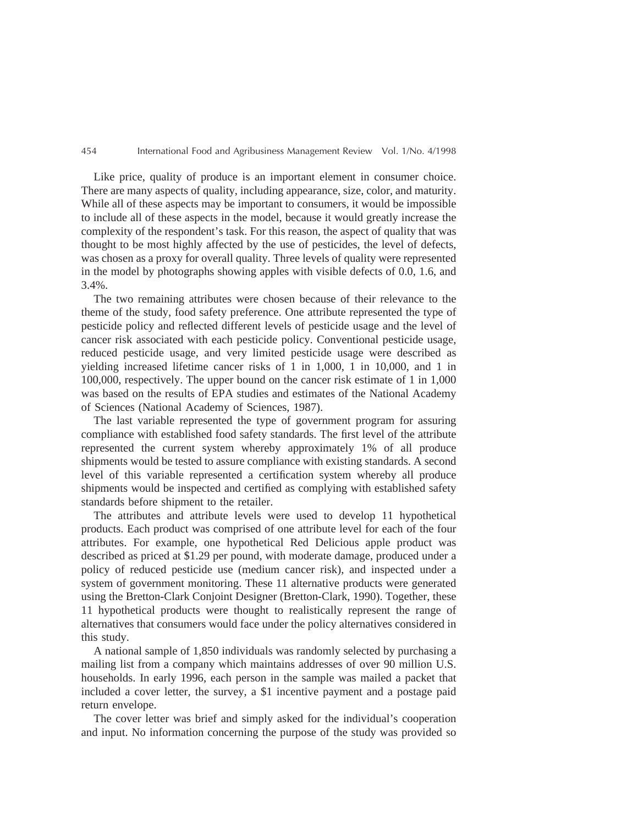Like price, quality of produce is an important element in consumer choice. There are many aspects of quality, including appearance, size, color, and maturity. While all of these aspects may be important to consumers, it would be impossible to include all of these aspects in the model, because it would greatly increase the complexity of the respondent's task. For this reason, the aspect of quality that was thought to be most highly affected by the use of pesticides, the level of defects, was chosen as a proxy for overall quality. Three levels of quality were represented in the model by photographs showing apples with visible defects of 0.0, 1.6, and 3.4%.

The two remaining attributes were chosen because of their relevance to the theme of the study, food safety preference. One attribute represented the type of pesticide policy and reflected different levels of pesticide usage and the level of cancer risk associated with each pesticide policy. Conventional pesticide usage, reduced pesticide usage, and very limited pesticide usage were described as yielding increased lifetime cancer risks of 1 in 1,000, 1 in 10,000, and 1 in 100,000, respectively. The upper bound on the cancer risk estimate of 1 in 1,000 was based on the results of EPA studies and estimates of the National Academy of Sciences (National Academy of Sciences, 1987).

The last variable represented the type of government program for assuring compliance with established food safety standards. The first level of the attribute represented the current system whereby approximately 1% of all produce shipments would be tested to assure compliance with existing standards. A second level of this variable represented a certification system whereby all produce shipments would be inspected and certified as complying with established safety standards before shipment to the retailer.

The attributes and attribute levels were used to develop 11 hypothetical products. Each product was comprised of one attribute level for each of the four attributes. For example, one hypothetical Red Delicious apple product was described as priced at \$1.29 per pound, with moderate damage, produced under a policy of reduced pesticide use (medium cancer risk), and inspected under a system of government monitoring. These 11 alternative products were generated using the Bretton-Clark Conjoint Designer (Bretton-Clark, 1990). Together, these 11 hypothetical products were thought to realistically represent the range of alternatives that consumers would face under the policy alternatives considered in this study.

A national sample of 1,850 individuals was randomly selected by purchasing a mailing list from a company which maintains addresses of over 90 million U.S. households. In early 1996, each person in the sample was mailed a packet that included a cover letter, the survey, a \$1 incentive payment and a postage paid return envelope.

The cover letter was brief and simply asked for the individual's cooperation and input. No information concerning the purpose of the study was provided so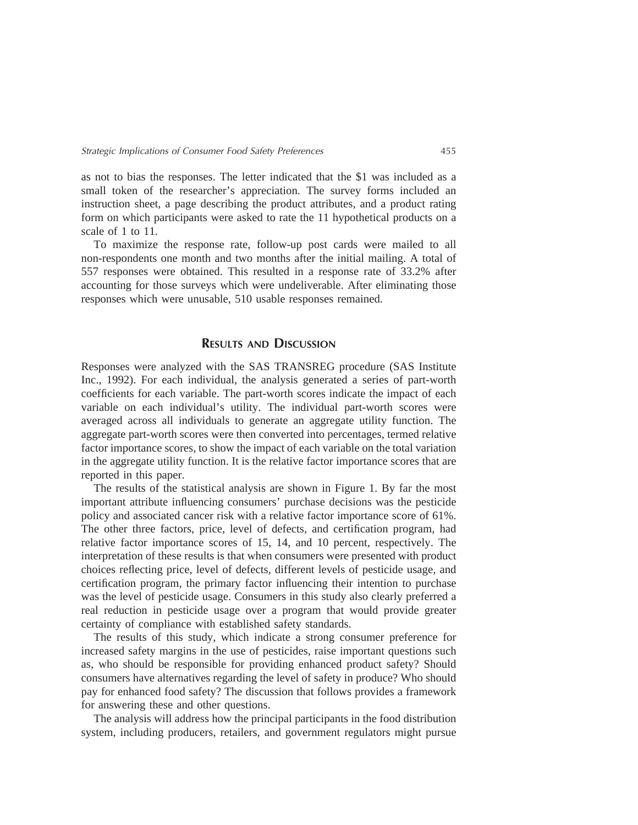as not to bias the responses. The letter indicated that the \$1 was included as a small token of the researcher's appreciation. The survey forms included an instruction sheet, a page describing the product attributes, and a product rating form on which participants were asked to rate the 11 hypothetical products on a scale of 1 to 11.

To maximize the response rate, follow-up post cards were mailed to all non-respondents one month and two months after the initial mailing. A total of 557 responses were obtained. This resulted in a response rate of 33.2% after accounting for those surveys which were undeliverable. After eliminating those responses which were unusable, 510 usable responses remained.

# **RESULTS AND DISCUSSION**

Responses were analyzed with the SAS TRANSREG procedure (SAS Institute Inc., 1992). For each individual, the analysis generated a series of part-worth coefficients for each variable. The part-worth scores indicate the impact of each variable on each individual's utility. The individual part-worth scores were averaged across all individuals to generate an aggregate utility function. The aggregate part-worth scores were then converted into percentages, termed relative factor importance scores, to show the impact of each variable on the total variation in the aggregate utility function. It is the relative factor importance scores that are reported in this paper.

The results of the statistical analysis are shown in Figure 1. By far the most important attribute influencing consumers' purchase decisions was the pesticide policy and associated cancer risk with a relative factor importance score of 61%. The other three factors, price, level of defects, and certification program, had relative factor importance scores of 15, 14, and 10 percent, respectively. The interpretation of these results is that when consumers were presented with product choices reflecting price, level of defects, different levels of pesticide usage, and certification program, the primary factor influencing their intention to purchase was the level of pesticide usage. Consumers in this study also clearly preferred a real reduction in pesticide usage over a program that would provide greater certainty of compliance with established safety standards.

The results of this study, which indicate a strong consumer preference for increased safety margins in the use of pesticides, raise important questions such as, who should be responsible for providing enhanced product safety? Should consumers have alternatives regarding the level of safety in produce? Who should pay for enhanced food safety? The discussion that follows provides a framework for answering these and other questions.

The analysis will address how the principal participants in the food distribution system, including producers, retailers, and government regulators might pursue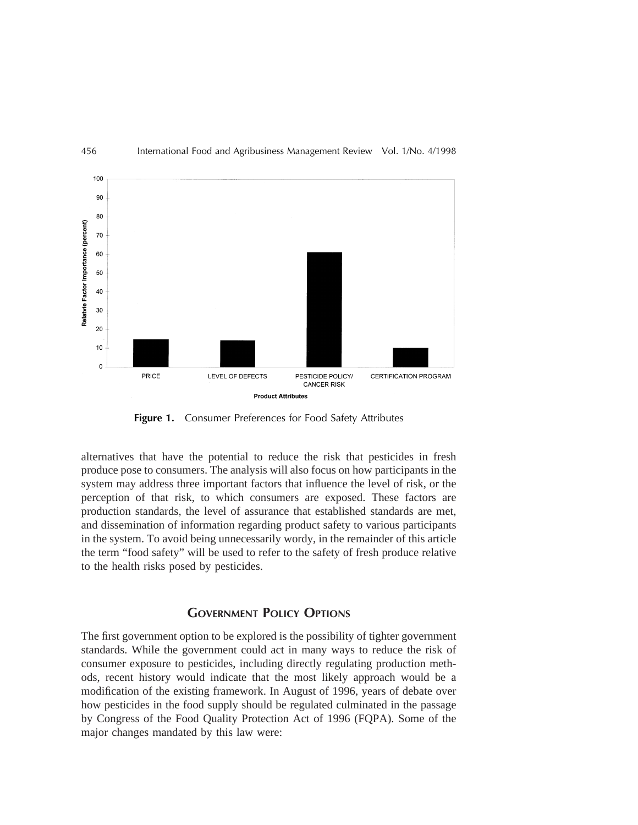

**Figure 1.** Consumer Preferences for Food Safety Attributes

alternatives that have the potential to reduce the risk that pesticides in fresh produce pose to consumers. The analysis will also focus on how participants in the system may address three important factors that influence the level of risk, or the perception of that risk, to which consumers are exposed. These factors are production standards, the level of assurance that established standards are met, and dissemination of information regarding product safety to various participants in the system. To avoid being unnecessarily wordy, in the remainder of this article the term "food safety" will be used to refer to the safety of fresh produce relative to the health risks posed by pesticides.

# **GOVERNMENT POLICY OPTIONS**

The first government option to be explored is the possibility of tighter government standards. While the government could act in many ways to reduce the risk of consumer exposure to pesticides, including directly regulating production methods, recent history would indicate that the most likely approach would be a modification of the existing framework. In August of 1996, years of debate over how pesticides in the food supply should be regulated culminated in the passage by Congress of the Food Quality Protection Act of 1996 (FQPA). Some of the major changes mandated by this law were: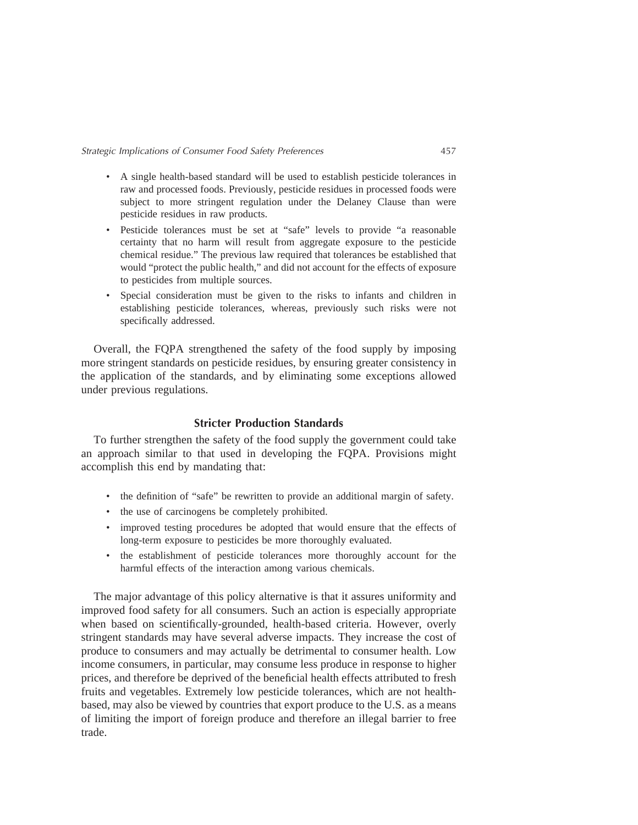- A single health-based standard will be used to establish pesticide tolerances in raw and processed foods. Previously, pesticide residues in processed foods were subject to more stringent regulation under the Delaney Clause than were pesticide residues in raw products.
- Pesticide tolerances must be set at "safe" levels to provide "a reasonable certainty that no harm will result from aggregate exposure to the pesticide chemical residue." The previous law required that tolerances be established that would "protect the public health," and did not account for the effects of exposure to pesticides from multiple sources.
- Special consideration must be given to the risks to infants and children in establishing pesticide tolerances, whereas, previously such risks were not specifically addressed.

Overall, the FQPA strengthened the safety of the food supply by imposing more stringent standards on pesticide residues, by ensuring greater consistency in the application of the standards, and by eliminating some exceptions allowed under previous regulations.

# **Stricter Production Standards**

To further strengthen the safety of the food supply the government could take an approach similar to that used in developing the FQPA. Provisions might accomplish this end by mandating that:

- the definition of "safe" be rewritten to provide an additional margin of safety.
- the use of carcinogens be completely prohibited.
- improved testing procedures be adopted that would ensure that the effects of long-term exposure to pesticides be more thoroughly evaluated.
- the establishment of pesticide tolerances more thoroughly account for the harmful effects of the interaction among various chemicals.

The major advantage of this policy alternative is that it assures uniformity and improved food safety for all consumers. Such an action is especially appropriate when based on scientifically-grounded, health-based criteria. However, overly stringent standards may have several adverse impacts. They increase the cost of produce to consumers and may actually be detrimental to consumer health. Low income consumers, in particular, may consume less produce in response to higher prices, and therefore be deprived of the beneficial health effects attributed to fresh fruits and vegetables. Extremely low pesticide tolerances, which are not healthbased, may also be viewed by countries that export produce to the U.S. as a means of limiting the import of foreign produce and therefore an illegal barrier to free trade.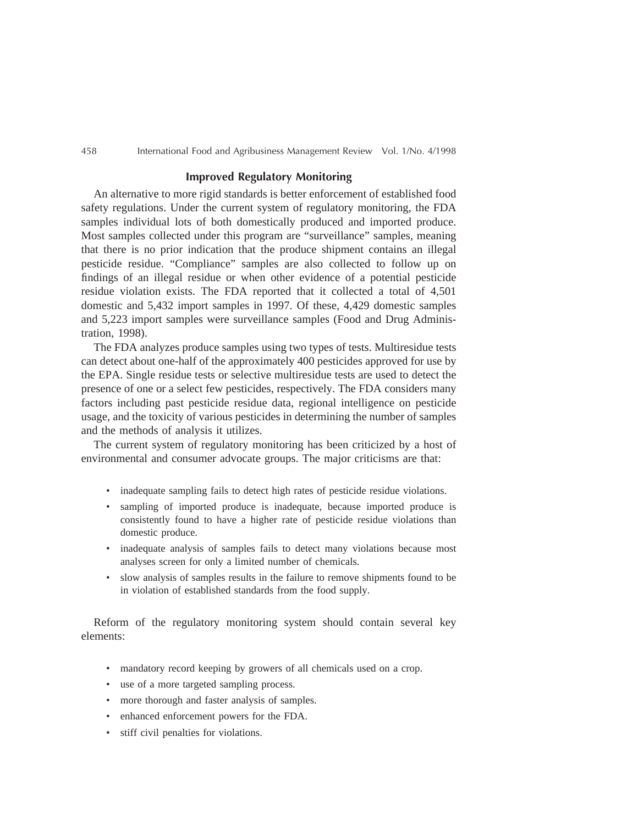# **Improved Regulatory Monitoring**

An alternative to more rigid standards is better enforcement of established food safety regulations. Under the current system of regulatory monitoring, the FDA samples individual lots of both domestically produced and imported produce. Most samples collected under this program are "surveillance" samples, meaning that there is no prior indication that the produce shipment contains an illegal pesticide residue. "Compliance" samples are also collected to follow up on findings of an illegal residue or when other evidence of a potential pesticide residue violation exists. The FDA reported that it collected a total of 4,501 domestic and 5,432 import samples in 1997. Of these, 4,429 domestic samples and 5,223 import samples were surveillance samples (Food and Drug Administration, 1998).

The FDA analyzes produce samples using two types of tests. Multiresidue tests can detect about one-half of the approximately 400 pesticides approved for use by the EPA. Single residue tests or selective multiresidue tests are used to detect the presence of one or a select few pesticides, respectively. The FDA considers many factors including past pesticide residue data, regional intelligence on pesticide usage, and the toxicity of various pesticides in determining the number of samples and the methods of analysis it utilizes.

The current system of regulatory monitoring has been criticized by a host of environmental and consumer advocate groups. The major criticisms are that:

- inadequate sampling fails to detect high rates of pesticide residue violations.
- sampling of imported produce is inadequate, because imported produce is consistently found to have a higher rate of pesticide residue violations than domestic produce.
- inadequate analysis of samples fails to detect many violations because most analyses screen for only a limited number of chemicals.
- slow analysis of samples results in the failure to remove shipments found to be in violation of established standards from the food supply.

Reform of the regulatory monitoring system should contain several key elements:

- mandatory record keeping by growers of all chemicals used on a crop.
- use of a more targeted sampling process.
- more thorough and faster analysis of samples.
- enhanced enforcement powers for the FDA.
- stiff civil penalties for violations.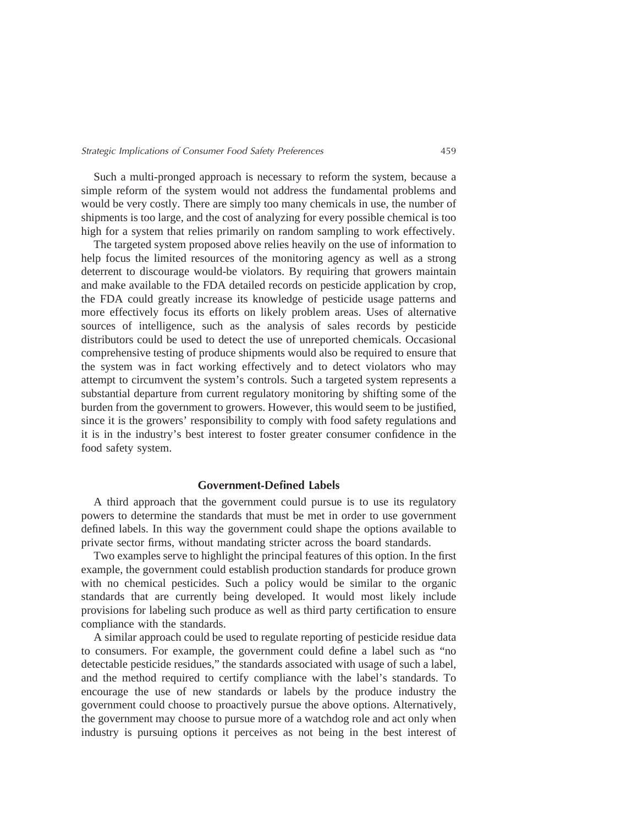Such a multi-pronged approach is necessary to reform the system, because a simple reform of the system would not address the fundamental problems and would be very costly. There are simply too many chemicals in use, the number of shipments is too large, and the cost of analyzing for every possible chemical is too high for a system that relies primarily on random sampling to work effectively.

The targeted system proposed above relies heavily on the use of information to help focus the limited resources of the monitoring agency as well as a strong deterrent to discourage would-be violators. By requiring that growers maintain and make available to the FDA detailed records on pesticide application by crop, the FDA could greatly increase its knowledge of pesticide usage patterns and more effectively focus its efforts on likely problem areas. Uses of alternative sources of intelligence, such as the analysis of sales records by pesticide distributors could be used to detect the use of unreported chemicals. Occasional comprehensive testing of produce shipments would also be required to ensure that the system was in fact working effectively and to detect violators who may attempt to circumvent the system's controls. Such a targeted system represents a substantial departure from current regulatory monitoring by shifting some of the burden from the government to growers. However, this would seem to be justified, since it is the growers' responsibility to comply with food safety regulations and it is in the industry's best interest to foster greater consumer confidence in the food safety system.

#### **Government-Defined Labels**

A third approach that the government could pursue is to use its regulatory powers to determine the standards that must be met in order to use government defined labels. In this way the government could shape the options available to private sector firms, without mandating stricter across the board standards.

Two examples serve to highlight the principal features of this option. In the first example, the government could establish production standards for produce grown with no chemical pesticides. Such a policy would be similar to the organic standards that are currently being developed. It would most likely include provisions for labeling such produce as well as third party certification to ensure compliance with the standards.

A similar approach could be used to regulate reporting of pesticide residue data to consumers. For example, the government could define a label such as "no detectable pesticide residues," the standards associated with usage of such a label, and the method required to certify compliance with the label's standards. To encourage the use of new standards or labels by the produce industry the government could choose to proactively pursue the above options. Alternatively, the government may choose to pursue more of a watchdog role and act only when industry is pursuing options it perceives as not being in the best interest of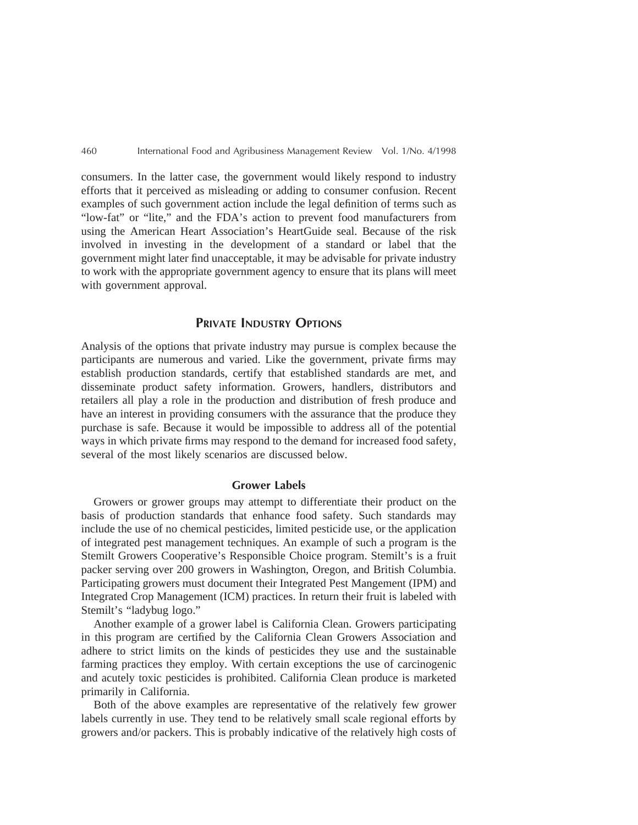consumers. In the latter case, the government would likely respond to industry efforts that it perceived as misleading or adding to consumer confusion. Recent examples of such government action include the legal definition of terms such as "low-fat" or "lite," and the FDA's action to prevent food manufacturers from using the American Heart Association's HeartGuide seal. Because of the risk involved in investing in the development of a standard or label that the government might later find unacceptable, it may be advisable for private industry to work with the appropriate government agency to ensure that its plans will meet with government approval.

# **PRIVATE INDUSTRY OPTIONS**

Analysis of the options that private industry may pursue is complex because the participants are numerous and varied. Like the government, private firms may establish production standards, certify that established standards are met, and disseminate product safety information. Growers, handlers, distributors and retailers all play a role in the production and distribution of fresh produce and have an interest in providing consumers with the assurance that the produce they purchase is safe. Because it would be impossible to address all of the potential ways in which private firms may respond to the demand for increased food safety, several of the most likely scenarios are discussed below.

# **Grower Labels**

Growers or grower groups may attempt to differentiate their product on the basis of production standards that enhance food safety. Such standards may include the use of no chemical pesticides, limited pesticide use, or the application of integrated pest management techniques. An example of such a program is the Stemilt Growers Cooperative's Responsible Choice program. Stemilt's is a fruit packer serving over 200 growers in Washington, Oregon, and British Columbia. Participating growers must document their Integrated Pest Mangement (IPM) and Integrated Crop Management (ICM) practices. In return their fruit is labeled with Stemilt's "ladybug logo."

Another example of a grower label is California Clean. Growers participating in this program are certified by the California Clean Growers Association and adhere to strict limits on the kinds of pesticides they use and the sustainable farming practices they employ. With certain exceptions the use of carcinogenic and acutely toxic pesticides is prohibited. California Clean produce is marketed primarily in California.

Both of the above examples are representative of the relatively few grower labels currently in use. They tend to be relatively small scale regional efforts by growers and/or packers. This is probably indicative of the relatively high costs of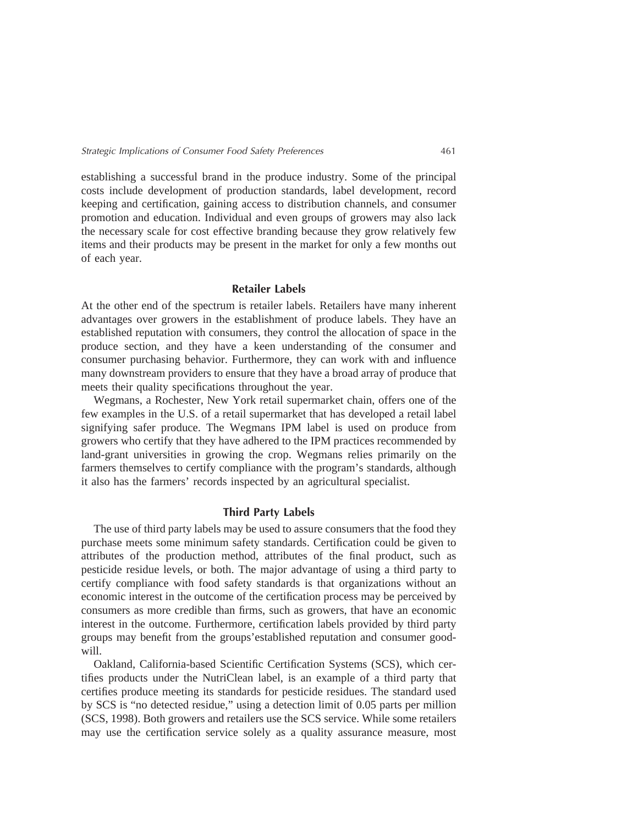establishing a successful brand in the produce industry. Some of the principal costs include development of production standards, label development, record keeping and certification, gaining access to distribution channels, and consumer promotion and education. Individual and even groups of growers may also lack the necessary scale for cost effective branding because they grow relatively few items and their products may be present in the market for only a few months out of each year.

## **Retailer Labels**

At the other end of the spectrum is retailer labels. Retailers have many inherent advantages over growers in the establishment of produce labels. They have an established reputation with consumers, they control the allocation of space in the produce section, and they have a keen understanding of the consumer and consumer purchasing behavior. Furthermore, they can work with and influence many downstream providers to ensure that they have a broad array of produce that meets their quality specifications throughout the year.

Wegmans, a Rochester, New York retail supermarket chain, offers one of the few examples in the U.S. of a retail supermarket that has developed a retail label signifying safer produce. The Wegmans IPM label is used on produce from growers who certify that they have adhered to the IPM practices recommended by land-grant universities in growing the crop. Wegmans relies primarily on the farmers themselves to certify compliance with the program's standards, although it also has the farmers' records inspected by an agricultural specialist.

#### **Third Party Labels**

The use of third party labels may be used to assure consumers that the food they purchase meets some minimum safety standards. Certification could be given to attributes of the production method, attributes of the final product, such as pesticide residue levels, or both. The major advantage of using a third party to certify compliance with food safety standards is that organizations without an economic interest in the outcome of the certification process may be perceived by consumers as more credible than firms, such as growers, that have an economic interest in the outcome. Furthermore, certification labels provided by third party groups may benefit from the groups'established reputation and consumer goodwill.

Oakland, California-based Scientific Certification Systems (SCS), which certifies products under the NutriClean label, is an example of a third party that certifies produce meeting its standards for pesticide residues. The standard used by SCS is "no detected residue," using a detection limit of 0.05 parts per million (SCS, 1998). Both growers and retailers use the SCS service. While some retailers may use the certification service solely as a quality assurance measure, most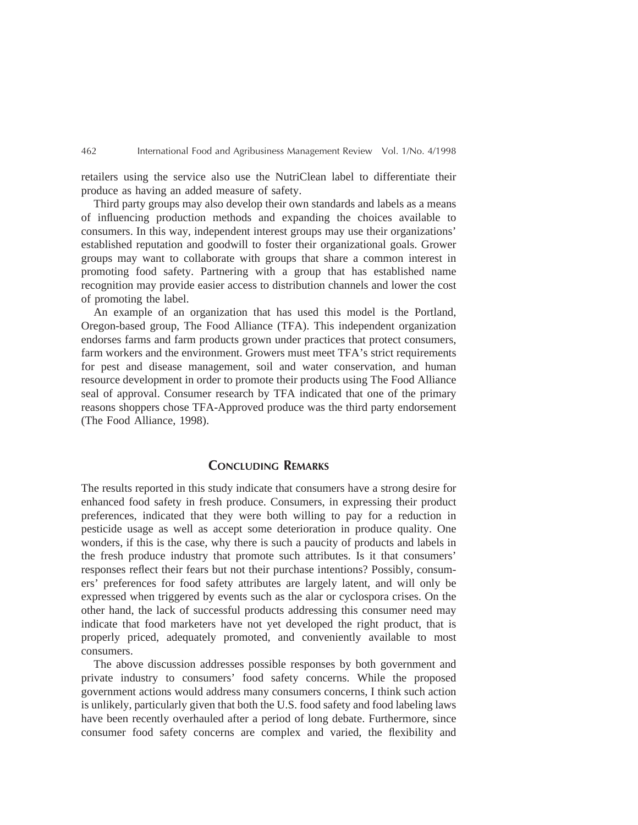retailers using the service also use the NutriClean label to differentiate their produce as having an added measure of safety.

Third party groups may also develop their own standards and labels as a means of influencing production methods and expanding the choices available to consumers. In this way, independent interest groups may use their organizations' established reputation and goodwill to foster their organizational goals. Grower groups may want to collaborate with groups that share a common interest in promoting food safety. Partnering with a group that has established name recognition may provide easier access to distribution channels and lower the cost of promoting the label.

An example of an organization that has used this model is the Portland, Oregon-based group, The Food Alliance (TFA). This independent organization endorses farms and farm products grown under practices that protect consumers, farm workers and the environment. Growers must meet TFA's strict requirements for pest and disease management, soil and water conservation, and human resource development in order to promote their products using The Food Alliance seal of approval. Consumer research by TFA indicated that one of the primary reasons shoppers chose TFA-Approved produce was the third party endorsement (The Food Alliance, 1998).

## **CONCLUDING REMARKS**

The results reported in this study indicate that consumers have a strong desire for enhanced food safety in fresh produce. Consumers, in expressing their product preferences, indicated that they were both willing to pay for a reduction in pesticide usage as well as accept some deterioration in produce quality. One wonders, if this is the case, why there is such a paucity of products and labels in the fresh produce industry that promote such attributes. Is it that consumers' responses reflect their fears but not their purchase intentions? Possibly, consumers' preferences for food safety attributes are largely latent, and will only be expressed when triggered by events such as the alar or cyclospora crises. On the other hand, the lack of successful products addressing this consumer need may indicate that food marketers have not yet developed the right product, that is properly priced, adequately promoted, and conveniently available to most consumers.

The above discussion addresses possible responses by both government and private industry to consumers' food safety concerns. While the proposed government actions would address many consumers concerns, I think such action is unlikely, particularly given that both the U.S. food safety and food labeling laws have been recently overhauled after a period of long debate. Furthermore, since consumer food safety concerns are complex and varied, the flexibility and